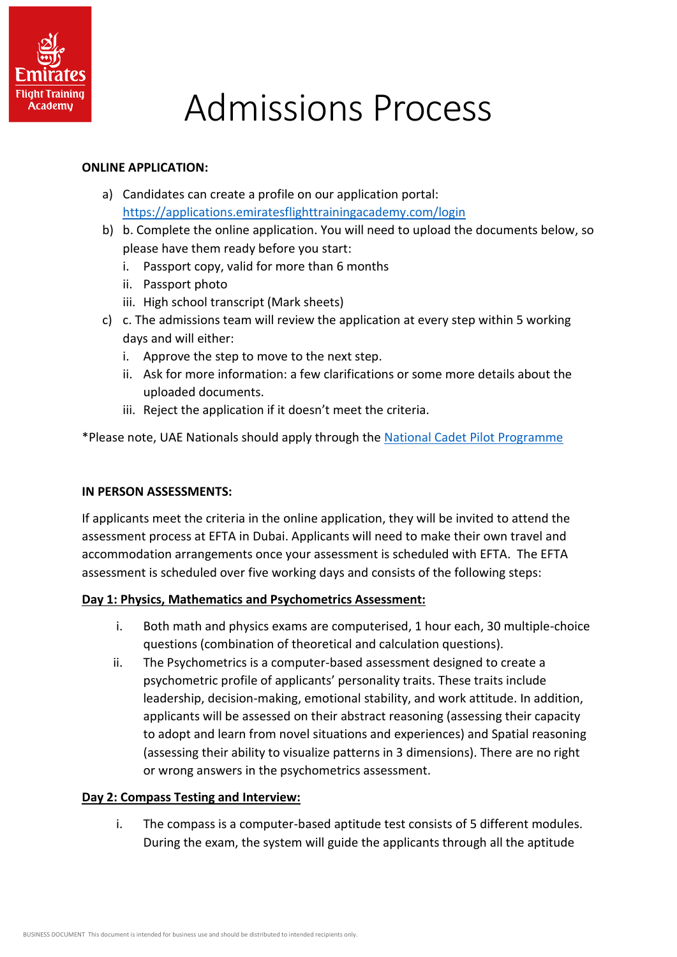

# Admissions Process

#### **ONLINE APPLICATION:**

- a) Candidates can create a profile on our application portal: <https://applications.emiratesflighttrainingacademy.com/login>
- b) b. Complete the online application. You will need to upload the documents below, so please have them ready before you start:
	- i. Passport copy, valid for more than 6 months
	- ii. Passport photo
	- iii. High school transcript (Mark sheets)
- c) c. The admissions team will review the application at every step within 5 working days and will either:
	- i. Approve the step to move to the next step.
	- ii. Ask for more information: a few clarifications or some more details about the uploaded documents.
	- iii. Reject the application if it doesn't meet the criteria.

\*Please note, UAE Nationals should apply through the [National Cadet Pilot Programme](https://www.emiratesgroupcareers.com/search-and-apply/328783)

## **IN PERSON ASSESSMENTS:**

If applicants meet the criteria in the online application, they will be invited to attend the assessment process at EFTA in Dubai. Applicants will need to make their own travel and accommodation arrangements once your assessment is scheduled with EFTA. The EFTA assessment is scheduled over five working days and consists of the following steps:

## **Day 1: Physics, Mathematics and Psychometrics Assessment:**

- i. Both math and physics exams are computerised, 1 hour each, 30 multiple-choice questions (combination of theoretical and calculation questions).
- ii. The Psychometrics is a computer-based assessment designed to create a psychometric profile of applicants' personality traits. These traits include leadership, decision-making, emotional stability, and work attitude. In addition, applicants will be assessed on their abstract reasoning (assessing their capacity to adopt and learn from novel situations and experiences) and Spatial reasoning (assessing their ability to visualize patterns in 3 dimensions). There are no right or wrong answers in the psychometrics assessment.

## **Day 2: Compass Testing and Interview:**

i. The compass is a computer-based aptitude test consists of 5 different modules. During the exam, the system will guide the applicants through all the aptitude